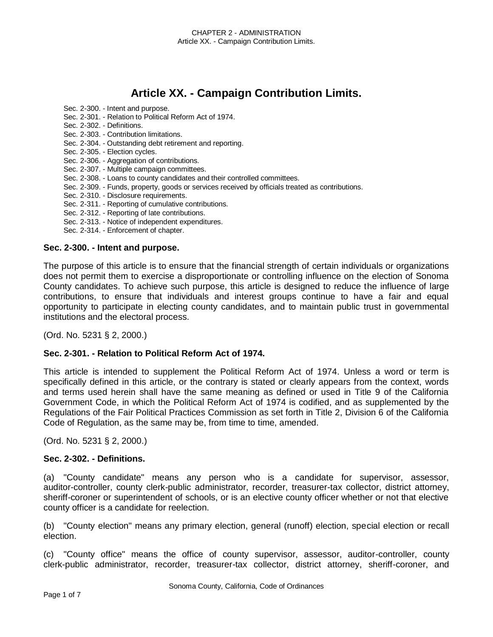# **Article XX. - Campaign Contribution Limits.**

- Sec. 2-301. Relation to Political Reform Act of 1974. Sec. 2-302. - Definitions. Sec. 2-303. - Contribution limitations. Sec. 2-304. - Outstanding debt retirement and reporting. Sec. 2-305. - Election cycles. Sec. 2-306. - Aggregation of contributions. Sec. 2-307. - Multiple campaign committees. Sec. 2-308. - Loans to county candidates and their controlled committees. Sec. 2-309. - Funds, property, goods or services received by officials treated as contributions. Sec. 2-310. - Disclosure requirements. Sec. 2-311. - Reporting of cumulative contributions.
- Sec. 2-312. Reporting of late contributions.
- Sec. 2-313. Notice of independent expenditures.
- Sec. 2-314. Enforcement of chapter.

Sec. 2-300. - Intent and purpose.

#### **Sec. 2-300. - Intent and purpose.**

The purpose of this article is to ensure that the financial strength of certain individuals or organizations does not permit them to exercise a disproportionate or controlling influence on the election of Sonoma County candidates. To achieve such purpose, this article is designed to reduce the influence of large contributions, to ensure that individuals and interest groups continue to have a fair and equal opportunity to participate in electing county candidates, and to maintain public trust in governmental institutions and the electoral process.

(Ord. No. 5231 § 2, 2000.)

#### **Sec. 2-301. - Relation to Political Reform Act of 1974.**

This article is intended to supplement the Political Reform Act of 1974. Unless a word or term is specifically defined in this article, or the contrary is stated or clearly appears from the context, words and terms used herein shall have the same meaning as defined or used in Title 9 of the California Government Code, in which the Political Reform Act of 1974 is codified, and as supplemented by the Regulations of the Fair Political Practices Commission as set forth in Title 2, Division 6 of the California Code of Regulation, as the same may be, from time to time, amended.

(Ord. No. 5231 § 2, 2000.)

#### **Sec. 2-302. - Definitions.**

(a) "County candidate" means any person who is a candidate for supervisor, assessor, auditor-controller, county clerk-public administrator, recorder, treasurer-tax collector, district attorney, sheriff-coroner or superintendent of schools, or is an elective county officer whether or not that elective county officer is a candidate for reelection.

(b) "County election" means any primary election, general (runoff) election, special election or recall election.

(c) "County office" means the office of county supervisor, assessor, auditor-controller, county clerk-public administrator, recorder, treasurer-tax collector, district attorney, sheriff-coroner, and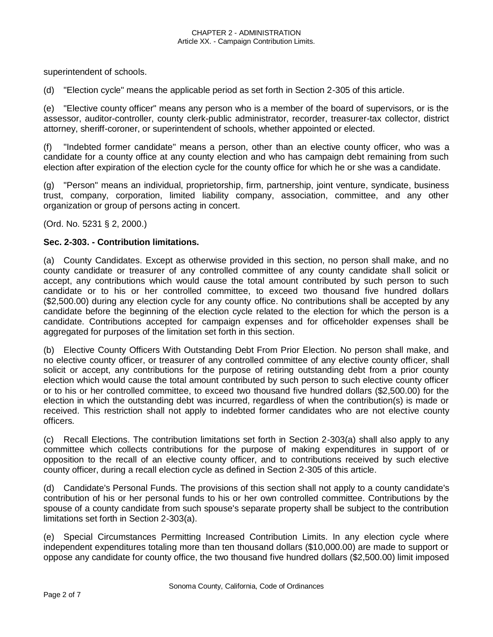superintendent of schools.

(d) "Election cycle" means the applicable period as set forth in Section 2-305 of this article.

(e) "Elective county officer" means any person who is a member of the board of supervisors, or is the assessor, auditor-controller, county clerk-public administrator, recorder, treasurer-tax collector, district attorney, sheriff-coroner, or superintendent of schools, whether appointed or elected.

(f) "Indebted former candidate" means a person, other than an elective county officer, who was a candidate for a county office at any county election and who has campaign debt remaining from such election after expiration of the election cycle for the county office for which he or she was a candidate.

(g) "Person" means an individual, proprietorship, firm, partnership, joint venture, syndicate, business trust, company, corporation, limited liability company, association, committee, and any other organization or group of persons acting in concert.

(Ord. No. 5231 § 2, 2000.)

#### **Sec. 2-303. - Contribution limitations.**

(a) County Candidates. Except as otherwise provided in this section, no person shall make, and no county candidate or treasurer of any controlled committee of any county candidate shall solicit or accept, any contributions which would cause the total amount contributed by such person to such candidate or to his or her controlled committee, to exceed two thousand five hundred dollars (\$2,500.00) during any election cycle for any county office. No contributions shall be accepted by any candidate before the beginning of the election cycle related to the election for which the person is a candidate. Contributions accepted for campaign expenses and for officeholder expenses shall be aggregated for purposes of the limitation set forth in this section.

(b) Elective County Officers With Outstanding Debt From Prior Election. No person shall make, and no elective county officer, or treasurer of any controlled committee of any elective county officer, shall solicit or accept, any contributions for the purpose of retiring outstanding debt from a prior county election which would cause the total amount contributed by such person to such elective county officer or to his or her controlled committee, to exceed two thousand five hundred dollars (\$2,500.00) for the election in which the outstanding debt was incurred, regardless of when the contribution(s) is made or received. This restriction shall not apply to indebted former candidates who are not elective county officers.

(c) Recall Elections. The contribution limitations set forth in Section 2-303(a) shall also apply to any committee which collects contributions for the purpose of making expenditures in support of or opposition to the recall of an elective county officer, and to contributions received by such elective county officer, during a recall election cycle as defined in Section 2-305 of this article.

(d) Candidate's Personal Funds. The provisions of this section shall not apply to a county candidate's contribution of his or her personal funds to his or her own controlled committee. Contributions by the spouse of a county candidate from such spouse's separate property shall be subject to the contribution limitations set forth in Section 2-303(a).

(e) Special Circumstances Permitting Increased Contribution Limits. In any election cycle where independent expenditures totaling more than ten thousand dollars (\$10,000.00) are made to support or oppose any candidate for county office, the two thousand five hundred dollars (\$2,500.00) limit imposed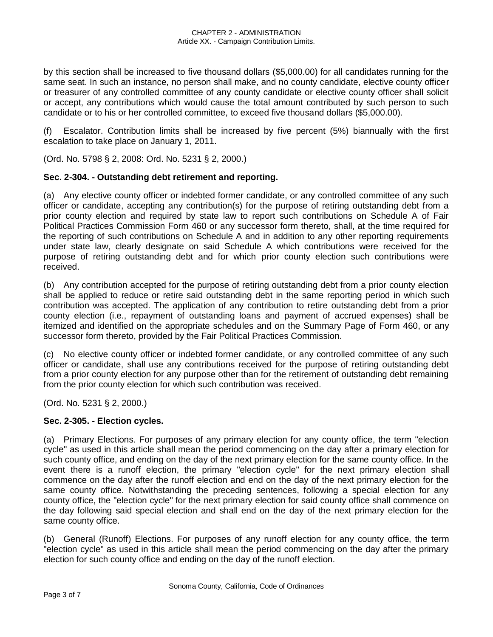by this section shall be increased to five thousand dollars (\$5,000.00) for all candidates running for the same seat. In such an instance, no person shall make, and no county candidate, elective county officer or treasurer of any controlled committee of any county candidate or elective county officer shall solicit or accept, any contributions which would cause the total amount contributed by such person to such candidate or to his or her controlled committee, to exceed five thousand dollars (\$5,000.00).

(f) Escalator. Contribution limits shall be increased by five percent (5%) biannually with the first escalation to take place on January 1, 2011.

(Ord. No. 5798 § 2, 2008: Ord. No. 5231 § 2, 2000.)

## **Sec. 2-304. - Outstanding debt retirement and reporting.**

(a) Any elective county officer or indebted former candidate, or any controlled committee of any such officer or candidate, accepting any contribution(s) for the purpose of retiring outstanding debt from a prior county election and required by state law to report such contributions on Schedule A of Fair Political Practices Commission Form 460 or any successor form thereto, shall, at the time required for the reporting of such contributions on Schedule A and in addition to any other reporting requirements under state law, clearly designate on said Schedule A which contributions were received for the purpose of retiring outstanding debt and for which prior county election such contributions were received.

(b) Any contribution accepted for the purpose of retiring outstanding debt from a prior county election shall be applied to reduce or retire said outstanding debt in the same reporting period in which such contribution was accepted. The application of any contribution to retire outstanding debt from a prior county election (i.e., repayment of outstanding loans and payment of accrued expenses) shall be itemized and identified on the appropriate schedules and on the Summary Page of Form 460, or any successor form thereto, provided by the Fair Political Practices Commission.

(c) No elective county officer or indebted former candidate, or any controlled committee of any such officer or candidate, shall use any contributions received for the purpose of retiring outstanding debt from a prior county election for any purpose other than for the retirement of outstanding debt remaining from the prior county election for which such contribution was received.

(Ord. No. 5231 § 2, 2000.)

## **Sec. 2-305. - Election cycles.**

(a) Primary Elections. For purposes of any primary election for any county office, the term "election cycle" as used in this article shall mean the period commencing on the day after a primary election for such county office, and ending on the day of the next primary election for the same county office. In the event there is a runoff election, the primary "election cycle" for the next primary election shall commence on the day after the runoff election and end on the day of the next primary election for the same county office. Notwithstanding the preceding sentences, following a special election for any county office, the "election cycle" for the next primary election for said county office shall commence on the day following said special election and shall end on the day of the next primary election for the same county office.

(b) General (Runoff) Elections. For purposes of any runoff election for any county office, the term "election cycle" as used in this article shall mean the period commencing on the day after the primary election for such county office and ending on the day of the runoff election.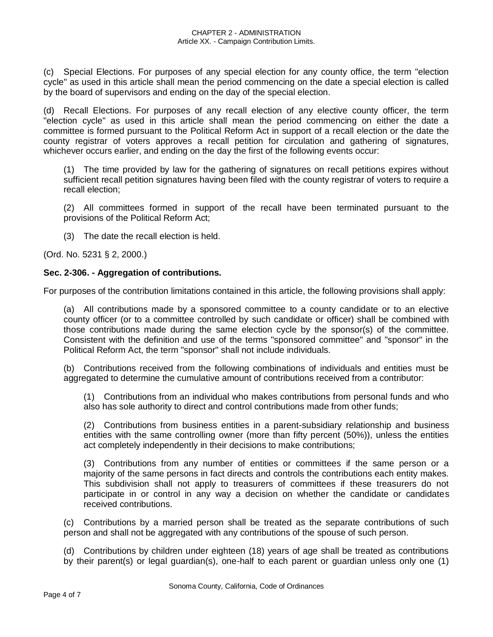(c) Special Elections. For purposes of any special election for any county office, the term "election cycle" as used in this article shall mean the period commencing on the date a special election is called by the board of supervisors and ending on the day of the special election.

(d) Recall Elections. For purposes of any recall election of any elective county officer, the term "election cycle" as used in this article shall mean the period commencing on either the date a committee is formed pursuant to the Political Reform Act in support of a recall election or the date the county registrar of voters approves a recall petition for circulation and gathering of signatures, whichever occurs earlier, and ending on the day the first of the following events occur:

(1) The time provided by law for the gathering of signatures on recall petitions expires without sufficient recall petition signatures having been filed with the county registrar of voters to require a recall election;

(2) All committees formed in support of the recall have been terminated pursuant to the provisions of the Political Reform Act;

(3) The date the recall election is held.

(Ord. No. 5231 § 2, 2000.)

#### **Sec. 2-306. - Aggregation of contributions.**

For purposes of the contribution limitations contained in this article, the following provisions shall apply:

(a) All contributions made by a sponsored committee to a county candidate or to an elective county officer (or to a committee controlled by such candidate or officer) shall be combined with those contributions made during the same election cycle by the sponsor(s) of the committee. Consistent with the definition and use of the terms "sponsored committee" and "sponsor" in the Political Reform Act, the term "sponsor" shall not include individuals.

(b) Contributions received from the following combinations of individuals and entities must be aggregated to determine the cumulative amount of contributions received from a contributor:

(1) Contributions from an individual who makes contributions from personal funds and who also has sole authority to direct and control contributions made from other funds;

(2) Contributions from business entities in a parent-subsidiary relationship and business entities with the same controlling owner (more than fifty percent (50%)), unless the entities act completely independently in their decisions to make contributions;

(3) Contributions from any number of entities or committees if the same person or a majority of the same persons in fact directs and controls the contributions each entity makes. This subdivision shall not apply to treasurers of committees if these treasurers do not participate in or control in any way a decision on whether the candidate or candidates received contributions.

(c) Contributions by a married person shall be treated as the separate contributions of such person and shall not be aggregated with any contributions of the spouse of such person.

(d) Contributions by children under eighteen (18) years of age shall be treated as contributions by their parent(s) or legal guardian(s), one-half to each parent or guardian unless only one (1)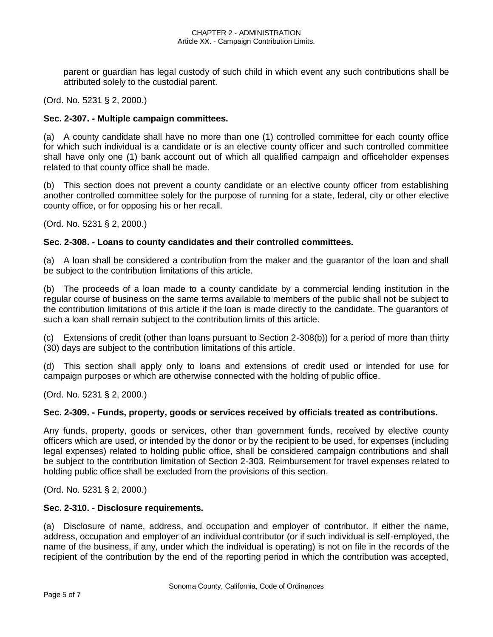parent or guardian has legal custody of such child in which event any such contributions shall be attributed solely to the custodial parent.

(Ord. No. 5231 § 2, 2000.)

#### **Sec. 2-307. - Multiple campaign committees.**

(a) A county candidate shall have no more than one (1) controlled committee for each county office for which such individual is a candidate or is an elective county officer and such controlled committee shall have only one (1) bank account out of which all qualified campaign and officeholder expenses related to that county office shall be made.

(b) This section does not prevent a county candidate or an elective county officer from establishing another controlled committee solely for the purpose of running for a state, federal, city or other elective county office, or for opposing his or her recall.

(Ord. No. 5231 § 2, 2000.)

#### **Sec. 2-308. - Loans to county candidates and their controlled committees.**

(a) A loan shall be considered a contribution from the maker and the guarantor of the loan and shall be subject to the contribution limitations of this article.

(b) The proceeds of a loan made to a county candidate by a commercial lending institution in the regular course of business on the same terms available to members of the public shall not be subject to the contribution limitations of this article if the loan is made directly to the candidate. The guarantors of such a loan shall remain subject to the contribution limits of this article.

(c) Extensions of credit (other than loans pursuant to Section 2-308(b)) for a period of more than thirty (30) days are subject to the contribution limitations of this article.

(d) This section shall apply only to loans and extensions of credit used or intended for use for campaign purposes or which are otherwise connected with the holding of public office.

(Ord. No. 5231 § 2, 2000.)

#### **Sec. 2-309. - Funds, property, goods or services received by officials treated as contributions.**

Any funds, property, goods or services, other than government funds, received by elective county officers which are used, or intended by the donor or by the recipient to be used, for expenses (including legal expenses) related to holding public office, shall be considered campaign contributions and shall be subject to the contribution limitation of Section 2-303. Reimbursement for travel expenses related to holding public office shall be excluded from the provisions of this section.

(Ord. No. 5231 § 2, 2000.)

#### **Sec. 2-310. - Disclosure requirements.**

(a) Disclosure of name, address, and occupation and employer of contributor. If either the name, address, occupation and employer of an individual contributor (or if such individual is self-employed, the name of the business, if any, under which the individual is operating) is not on file in the records of the recipient of the contribution by the end of the reporting period in which the contribution was accepted,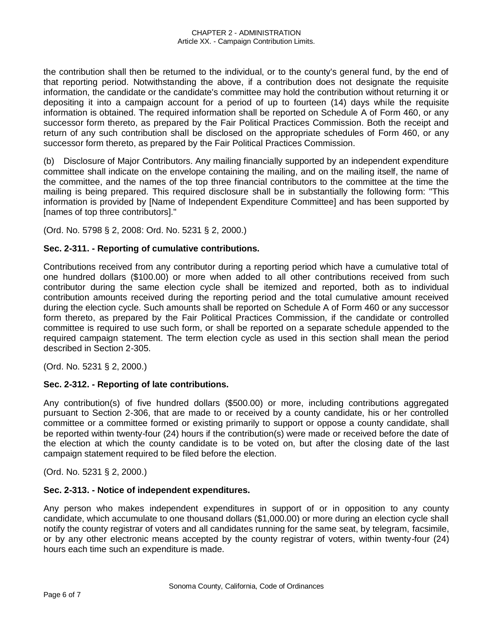the contribution shall then be returned to the individual, or to the county's general fund, by the end of that reporting period. Notwithstanding the above, if a contribution does not designate the requisite information, the candidate or the candidate's committee may hold the contribution without returning it or depositing it into a campaign account for a period of up to fourteen (14) days while the requisite information is obtained. The required information shall be reported on Schedule A of Form 460, or any successor form thereto, as prepared by the Fair Political Practices Commission. Both the receipt and return of any such contribution shall be disclosed on the appropriate schedules of Form 460, or any successor form thereto, as prepared by the Fair Political Practices Commission.

(b) Disclosure of Major Contributors. Any mailing financially supported by an independent expenditure committee shall indicate on the envelope containing the mailing, and on the mailing itself, the name of the committee, and the names of the top three financial contributors to the committee at the time the mailing is being prepared. This required disclosure shall be in substantially the following form: "This information is provided by [Name of Independent Expenditure Committee] and has been supported by [names of top three contributors]."

(Ord. No. 5798 § 2, 2008: Ord. No. 5231 § 2, 2000.)

## **Sec. 2-311. - Reporting of cumulative contributions.**

Contributions received from any contributor during a reporting period which have a cumulative total of one hundred dollars (\$100.00) or more when added to all other contributions received from such contributor during the same election cycle shall be itemized and reported, both as to individual contribution amounts received during the reporting period and the total cumulative amount received during the election cycle. Such amounts shall be reported on Schedule A of Form 460 or any successor form thereto, as prepared by the Fair Political Practices Commission, if the candidate or controlled committee is required to use such form, or shall be reported on a separate schedule appended to the required campaign statement. The term election cycle as used in this section shall mean the period described in Section 2-305.

(Ord. No. 5231 § 2, 2000.)

## **Sec. 2-312. - Reporting of late contributions.**

Any contribution(s) of five hundred dollars (\$500.00) or more, including contributions aggregated pursuant to Section 2-306, that are made to or received by a county candidate, his or her controlled committee or a committee formed or existing primarily to support or oppose a county candidate, shall be reported within twenty-four (24) hours if the contribution(s) were made or received before the date of the election at which the county candidate is to be voted on, but after the closing date of the last campaign statement required to be filed before the election.

(Ord. No. 5231 § 2, 2000.)

#### **Sec. 2-313. - Notice of independent expenditures.**

Any person who makes independent expenditures in support of or in opposition to any county candidate, which accumulate to one thousand dollars (\$1,000.00) or more during an election cycle shall notify the county registrar of voters and all candidates running for the same seat, by telegram, facsimile, or by any other electronic means accepted by the county registrar of voters, within twenty-four (24) hours each time such an expenditure is made.